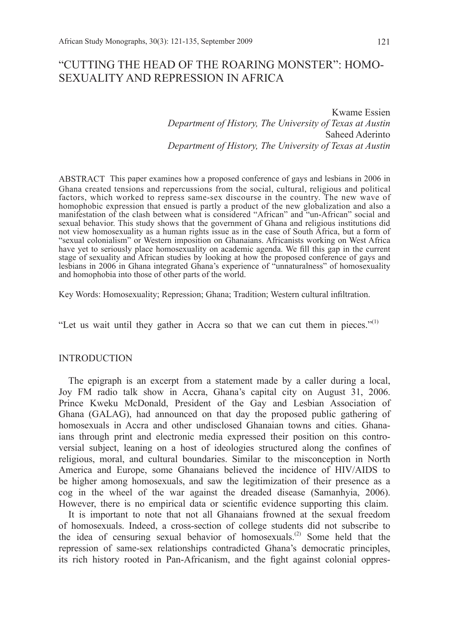# "CUTTING THE HEAD OF THE ROARING MONSTER": HOMO-SEXUALITY AND REPRESSION IN AFRICA

Kwame Essien *Department of History, The University of Texas at Austin* Saheed Aderinto *Department of History, The University of Texas at Austin*

ABSTRACT This paper examines how a proposed conference of gays and lesbians in 2006 in Ghana created tensions and repercussions from the social, cultural, religious and political factors, which worked to repress same-sex discourse in the country. The new wave of homophobic expression that ensued is partly a product of the new globalization and also a manifestation of the clash between what is considered "African" and "un-African" social and sexual behavior. This study shows that the government of Ghana and religious institutions did not view homosexuality as a human rights issue as in the case of South Africa, but a form of "sexual colonialism" or Western imposition on Ghanaians. Africanists working on West Africa have yet to seriously place homosexuality on academic agenda. We fill this gap in the current stage of sexuality and African studies by looking at how the proposed conference of gays and lesbians in 2006 in Ghana integrated Ghana's experience of "unnaturalness" of homosexuality and homophobia into those of other parts of the world.

Key Words: Homosexuality; Repression; Ghana; Tradition; Western cultural infiltration.

"Let us wait until they gather in Accra so that we can cut them in pieces." $(1)$ 

#### **INTRODUCTION**

The epigraph is an excerpt from a statement made by a caller during a local, Joy FM radio talk show in Accra, Ghana's capital city on August 31, 2006. Prince Kweku McDonald, President of the Gay and Lesbian Association of Ghana (GALAG), had announced on that day the proposed public gathering of homosexuals in Accra and other undisclosed Ghanaian towns and cities. Ghanaians through print and electronic media expressed their position on this controversial subject, leaning on a host of ideologies structured along the confines of religious, moral, and cultural boundaries. Similar to the misconception in North America and Europe, some Ghanaians believed the incidence of HIV/AIDS to be higher among homosexuals, and saw the legitimization of their presence as a cog in the wheel of the war against the dreaded disease (Samanhyia, 2006). However, there is no empirical data or scientific evidence supporting this claim.

It is important to note that not all Ghanaians frowned at the sexual freedom of homosexuals. Indeed, a cross-section of college students did not subscribe to the idea of censuring sexual behavior of homosexuals.<sup>(2)</sup> Some held that the repression of same-sex relationships contradicted Ghana's democratic principles, its rich history rooted in Pan-Africanism, and the fight against colonial oppres-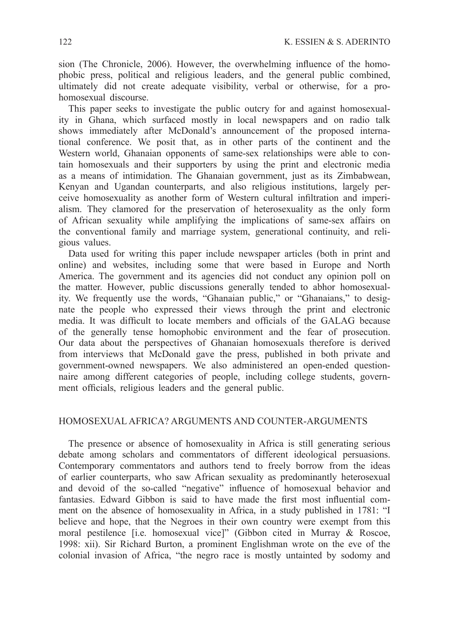sion (The Chronicle, 2006). However, the overwhelming influence of the homophobic press, political and religious leaders, and the general public combined, ultimately did not create adequate visibility, verbal or otherwise, for a prohomosexual discourse.

This paper seeks to investigate the public outcry for and against homosexuality in Ghana, which surfaced mostly in local newspapers and on radio talk shows immediately after McDonald's announcement of the proposed international conference. We posit that, as in other parts of the continent and the Western world, Ghanaian opponents of same-sex relationships were able to contain homosexuals and their supporters by using the print and electronic media as a means of intimidation. The Ghanaian government, just as its Zimbabwean, Kenyan and Ugandan counterparts, and also religious institutions, largely perceive homosexuality as another form of Western cultural infiltration and imperialism. They clamored for the preservation of heterosexuality as the only form of African sexuality while amplifying the implications of same-sex affairs on the conventional family and marriage system, generational continuity, and religious values.

Data used for writing this paper include newspaper articles (both in print and online) and websites, including some that were based in Europe and North America. The government and its agencies did not conduct any opinion poll on the matter. However, public discussions generally tended to abhor homosexuality. We frequently use the words, "Ghanaian public," or "Ghanaians," to designate the people who expressed their views through the print and electronic media. It was difficult to locate members and officials of the GALAG because of the generally tense homophobic environment and the fear of prosecution. Our data about the perspectives of Ghanaian homosexuals therefore is derived from interviews that McDonald gave the press, published in both private and government-owned newspapers. We also administered an open-ended questionnaire among different categories of people, including college students, government officials, religious leaders and the general public.

#### Homosexual Africa? Arguments and Counter-arguments

The presence or absence of homosexuality in Africa is still generating serious debate among scholars and commentators of different ideological persuasions. Contemporary commentators and authors tend to freely borrow from the ideas of earlier counterparts, who saw African sexuality as predominantly heterosexual and devoid of the so-called "negative" influence of homosexual behavior and fantasies. Edward Gibbon is said to have made the first most influential comment on the absence of homosexuality in Africa, in a study published in 1781: "I believe and hope, that the Negroes in their own country were exempt from this moral pestilence [i.e. homosexual vice]" (Gibbon cited in Murray & Roscoe, 1998: xii). Sir Richard Burton, a prominent Englishman wrote on the eve of the colonial invasion of Africa, "the negro race is mostly untainted by sodomy and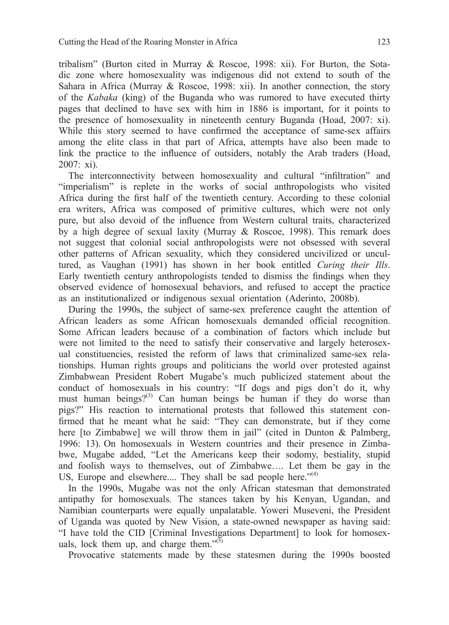tribalism" (Burton cited in Murray & Roscoe, 1998: xii). For Burton, the Sotadic zone where homosexuality was indigenous did not extend to south of the Sahara in Africa (Murray & Roscoe, 1998: xii). In another connection, the story of the *Kabaka* (king) of the Buganda who was rumored to have executed thirty pages that declined to have sex with him in 1886 is important, for it points to the presence of homosexuality in nineteenth century Buganda (Hoad, 2007: xi). While this story seemed to have confirmed the acceptance of same-sex affairs among the elite class in that part of Africa, attempts have also been made to link the practice to the influence of outsiders, notably the Arab traders (Hoad, 2007: xi).

The interconnectivity between homosexuality and cultural "infiltration" and "imperialism" is replete in the works of social anthropologists who visited Africa during the first half of the twentieth century. According to these colonial era writers, Africa was composed of primitive cultures, which were not only pure, but also devoid of the influence from Western cultural traits, characterized by a high degree of sexual laxity (Murray & Roscoe, 1998). This remark does not suggest that colonial social anthropologists were not obsessed with several other patterns of African sexuality, which they considered uncivilized or uncultured, as Vaughan (1991) has shown in her book entitled *Curing their Ills*. Early twentieth century anthropologists tended to dismiss the findings when they observed evidence of homosexual behaviors, and refused to accept the practice as an institutionalized or indigenous sexual orientation (Aderinto, 2008b).

During the 1990s, the subject of same-sex preference caught the attention of African leaders as some African homosexuals demanded official recognition. Some African leaders because of a combination of factors which include but were not limited to the need to satisfy their conservative and largely heterosexual constituencies, resisted the reform of laws that criminalized same-sex relationships. Human rights groups and politicians the world over protested against Zimbabwean President Robert Mugabe's much publicized statement about the conduct of homosexuals in his country: "If dogs and pigs don't do it, why must human beings? $(3)$  Can human beings be human if they do worse than pigs?" His reaction to international protests that followed this statement confirmed that he meant what he said: "They can demonstrate, but if they come here [to Zimbabwe] we will throw them in jail" (cited in Dunton & Palmberg, 1996: 13). On homosexuals in Western countries and their presence in Zimbabwe, Mugabe added, "Let the Americans keep their sodomy, bestiality, stupid and foolish ways to themselves, out of Zimbabwe…. Let them be gay in the US, Europe and elsewhere.... They shall be sad people here." $(4)$ 

In the 1990s, Mugabe was not the only African statesman that demonstrated antipathy for homosexuals. The stances taken by his Kenyan, Ugandan, and Namibian counterparts were equally unpalatable. Yoweri Museveni, the President of Uganda was quoted by New Vision, a state-owned newspaper as having said: "I have told the CID [Criminal Investigations Department] to look for homosexuals, lock them up, and charge them." $(5)$ 

Provocative statements made by these statesmen during the 1990s boosted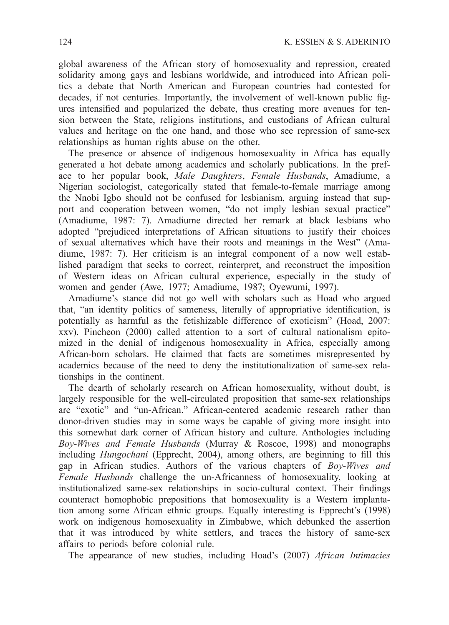global awareness of the African story of homosexuality and repression, created solidarity among gays and lesbians worldwide, and introduced into African politics a debate that North American and European countries had contested for decades, if not centuries. Importantly, the involvement of well-known public figures intensified and popularized the debate, thus creating more avenues for tension between the State, religions institutions, and custodians of African cultural values and heritage on the one hand, and those who see repression of same-sex relationships as human rights abuse on the other.

The presence or absence of indigenous homosexuality in Africa has equally generated a hot debate among academics and scholarly publications. In the preface to her popular book, *Male Daughters*, *Female Husbands*, Amadiume, a Nigerian sociologist, categorically stated that female-to-female marriage among the Nnobi Igbo should not be confused for lesbianism, arguing instead that support and cooperation between women, "do not imply lesbian sexual practice" (Amadiume, 1987: 7). Amadiume directed her remark at black lesbians who adopted "prejudiced interpretations of African situations to justify their choices of sexual alternatives which have their roots and meanings in the West" (Amadiume, 1987: 7). Her criticism is an integral component of a now well established paradigm that seeks to correct, reinterpret, and reconstruct the imposition of Western ideas on African cultural experience, especially in the study of women and gender (Awe, 1977; Amadiume, 1987; Oyewumi, 1997).

Amadiume's stance did not go well with scholars such as Hoad who argued that, "an identity politics of sameness, literally of appropriative identification, is potentially as harmful as the fetishizable difference of exoticism" (Hoad, 2007: xxv). Pincheon (2000) called attention to a sort of cultural nationalism epitomized in the denial of indigenous homosexuality in Africa, especially among African-born scholars. He claimed that facts are sometimes misrepresented by academics because of the need to deny the institutionalization of same-sex relationships in the continent.

The dearth of scholarly research on African homosexuality, without doubt, is largely responsible for the well-circulated proposition that same-sex relationships are "exotic" and "un-African." African-centered academic research rather than donor-driven studies may in some ways be capable of giving more insight into this somewhat dark corner of African history and culture. Anthologies including *Boy-Wives and Female Husbands* (Murray & Roscoe, 1998) and monographs including *Hungochani* (Epprecht, 2004), among others, are beginning to fill this gap in African studies. Authors of the various chapters of *Boy-Wives and Female Husbands* challenge the un-Africanness of homosexuality, looking at institutionalized same-sex relationships in socio-cultural context. Their findings counteract homophobic prepositions that homosexuality is a Western implantation among some African ethnic groups. Equally interesting is Epprecht's (1998) work on indigenous homosexuality in Zimbabwe, which debunked the assertion that it was introduced by white settlers, and traces the history of same-sex affairs to periods before colonial rule.

The appearance of new studies, including Hoad's (2007) *African Intimacies*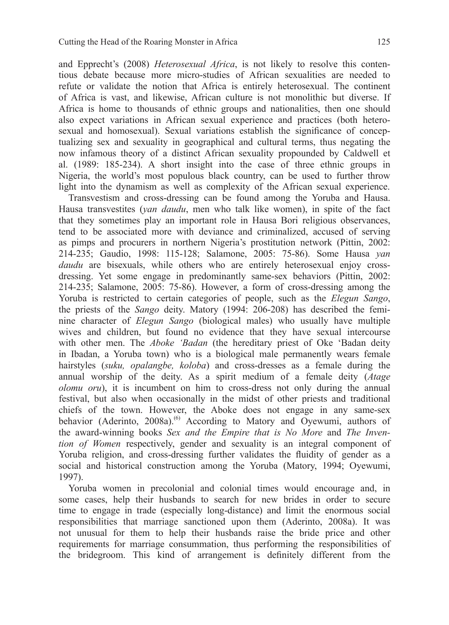and Epprecht's (2008) *Heterosexual Africa*, is not likely to resolve this contentious debate because more micro-studies of African sexualities are needed to refute or validate the notion that Africa is entirely heterosexual. The continent of Africa is vast, and likewise, African culture is not monolithic but diverse. If Africa is home to thousands of ethnic groups and nationalities, then one should also expect variations in African sexual experience and practices (both heterosexual and homosexual). Sexual variations establish the significance of conceptualizing sex and sexuality in geographical and cultural terms, thus negating the now infamous theory of a distinct African sexuality propounded by Caldwell et al. (1989: 185-234). A short insight into the case of three ethnic groups in Nigeria, the world's most populous black country, can be used to further throw light into the dynamism as well as complexity of the African sexual experience.

Transvestism and cross-dressing can be found among the Yoruba and Hausa. Hausa transvestites (*yan daudu*, men who talk like women), in spite of the fact that they sometimes play an important role in Hausa Bori religious observances, tend to be associated more with deviance and criminalized, accused of serving as pimps and procurers in northern Nigeria's prostitution network (Pittin, 2002: 214-235; Gaudio, 1998: 115-128; Salamone, 2005: 75-86). Some Hausa *yan daudu* are bisexuals, while others who are entirely heterosexual enjoy crossdressing. Yet some engage in predominantly same-sex behaviors (Pittin, 2002: 214-235; Salamone, 2005: 75-86). However, a form of cross-dressing among the Yoruba is restricted to certain categories of people, such as the *Elegun Sango*, the priests of the *Sango* deity. Matory (1994: 206-208) has described the feminine character of *Elegun Sango* (biological males) who usually have multiple wives and children, but found no evidence that they have sexual intercourse with other men. The *Aboke 'Badan* (the hereditary priest of Oke 'Badan deity in Ibadan, a Yoruba town) who is a biological male permanently wears female hairstyles (*suku, opalangbe, koloba*) and cross-dresses as a female during the annual worship of the deity. As a spirit medium of a female deity (*Atage olomu oru*), it is incumbent on him to cross-dress not only during the annual festival, but also when occasionally in the midst of other priests and traditional chiefs of the town. However, the Aboke does not engage in any same-sex behavior (Aderinto, 2008a).<sup>(6)</sup> According to Matory and Oyewumi, authors of the award-winning books *Sex and the Empire that is No More* and *The Invention of Women* respectively, gender and sexuality is an integral component of Yoruba religion, and cross-dressing further validates the fluidity of gender as a social and historical construction among the Yoruba (Matory, 1994; Oyewumi, 1997).

Yoruba women in precolonial and colonial times would encourage and, in some cases, help their husbands to search for new brides in order to secure time to engage in trade (especially long-distance) and limit the enormous social responsibilities that marriage sanctioned upon them (Aderinto, 2008a). It was not unusual for them to help their husbands raise the bride price and other requirements for marriage consummation, thus performing the responsibilities of the bridegroom. This kind of arrangement is definitely different from the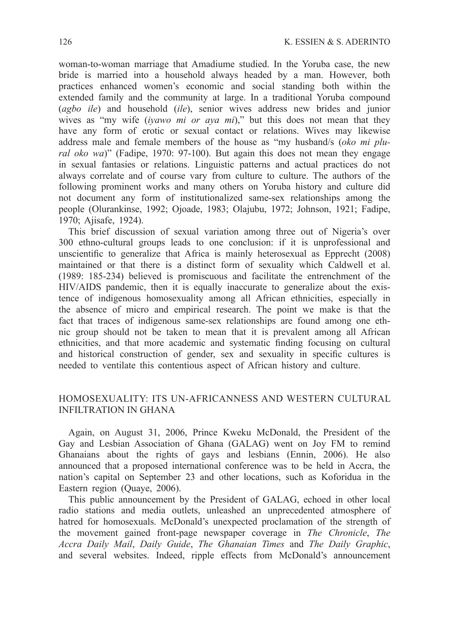woman-to-woman marriage that Amadiume studied. In the Yoruba case, the new bride is married into a household always headed by a man. However, both practices enhanced women's economic and social standing both within the extended family and the community at large. In a traditional Yoruba compound (*agbo ile*) and household (*ile*), senior wives address new brides and junior wives as "my wife (*iyawo mi or aya mi*)," but this does not mean that they have any form of erotic or sexual contact or relations. Wives may likewise address male and female members of the house as "my husband/s (*oko mi plural oko wa*)" (Fadipe, 1970: 97-100). But again this does not mean they engage in sexual fantasies or relations. Linguistic patterns and actual practices do not always correlate and of course vary from culture to culture. The authors of the following prominent works and many others on Yoruba history and culture did not document any form of institutionalized same-sex relationships among the people (Olurankinse, 1992; Ojoade, 1983; Olajubu, 1972; Johnson, 1921; Fadipe, 1970; Ajisafe, 1924).

This brief discussion of sexual variation among three out of Nigeria's over 300 ethno-cultural groups leads to one conclusion: if it is unprofessional and unscientific to generalize that Africa is mainly heterosexual as Epprecht (2008) maintained or that there is a distinct form of sexuality which Caldwell et al. (1989: 185-234) believed is promiscuous and facilitate the entrenchment of the HIV/AIDS pandemic, then it is equally inaccurate to generalize about the existence of indigenous homosexuality among all African ethnicities, especially in the absence of micro and empirical research. The point we make is that the fact that traces of indigenous same-sex relationships are found among one ethnic group should not be taken to mean that it is prevalent among all African ethnicities, and that more academic and systematic finding focusing on cultural and historical construction of gender, sex and sexuality in specific cultures is needed to ventilate this contentious aspect of African history and culture.

## Homosexuality: Its un-Africanness and Western Cultural Infiltration in Ghana

Again, on August 31, 2006, Prince Kweku McDonald, the President of the Gay and Lesbian Association of Ghana (GALAG) went on Joy FM to remind Ghanaians about the rights of gays and lesbians (Ennin, 2006). He also announced that a proposed international conference was to be held in Accra, the nation's capital on September 23 and other locations, such as Koforidua in the Eastern region (Quaye, 2006).

This public announcement by the President of GALAG, echoed in other local radio stations and media outlets, unleashed an unprecedented atmosphere of hatred for homosexuals. McDonald's unexpected proclamation of the strength of the movement gained front-page newspaper coverage in *The Chronicle*, *The Accra Daily Mail*, *Daily Guide*, *The Ghanaian Times* and *The Daily Graphic*, and several websites. Indeed, ripple effects from McDonald's announcement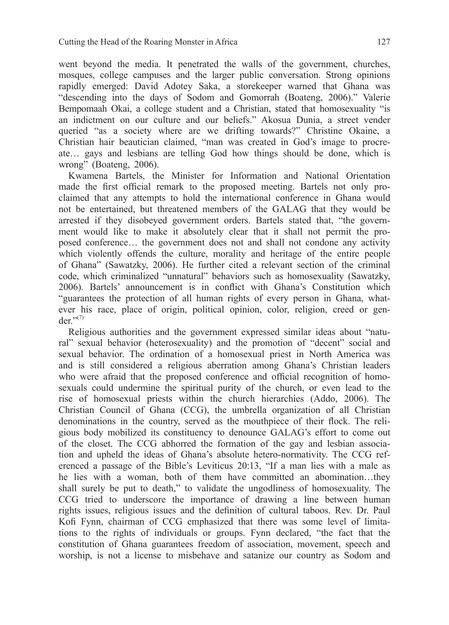went beyond the media. It penetrated the walls of the government, churches, mosques, college campuses and the larger public conversation. Strong opinions rapidly emerged: David Adotey Saka, a storekeeper warned that Ghana was "descending into the days of Sodom and Gomorrah (Boateng, 2006)." Valerie Bempomaah Okai, a college student and a Christian, stated that homosexuality "is an indictment on our culture and our beliefs." Akosua Dunia, a street vender queried "as a society where are we drifting towards?" Christine Okaine, a Christian hair beautician claimed, "man was created in God's image to procreate… gays and lesbians are telling God how things should be done, which is wrong" (Boateng, 2006).

Kwamena Bartels, the Minister for Information and National Orientation made the first official remark to the proposed meeting. Bartels not only proclaimed that any attempts to hold the international conference in Ghana would not be entertained, but threatened members of the GALAG that they would be arrested if they disobeyed government orders. Bartels stated that, "the government would like to make it absolutely clear that it shall not permit the proposed conference… the government does not and shall not condone any activity which violently offends the culture, morality and heritage of the entire people of Ghana" (Sawatzky, 2006). He further cited a relevant section of the criminal code, which criminalized "unnatural" behaviors such as homosexuality (Sawatzky, 2006). Bartels' announcement is in conflict with Ghana's Constitution which "guarantees the protection of all human rights of every person in Ghana, whatever his race, place of origin, political opinion, color, religion, creed or gen $der$ <sup>"(7)</sup>

Religious authorities and the government expressed similar ideas about "natural" sexual behavior (heterosexuality) and the promotion of "decent" social and sexual behavior. The ordination of a homosexual priest in North America was and is still considered a religious aberration among Ghana's Christian leaders who were afraid that the proposed conference and official recognition of homosexuals could undermine the spiritual purity of the church, or even lead to the rise of homosexual priests within the church hierarchies (Addo, 2006). The Christian Council of Ghana (CCG), the umbrella organization of all Christian denominations in the country, served as the mouthpiece of their flock. The religious body mobilized its constituency to denounce GALAG's effort to come out of the closet. The CCG abhorred the formation of the gay and lesbian association and upheld the ideas of Ghana's absolute hetero-normativity. The CCG referenced a passage of the Bible's Leviticus 20:13, "If a man lies with a male as he lies with a woman, both of them have committed an abomination…they shall surely be put to death," to validate the ungodliness of homosexuality. The CCG tried to underscore the importance of drawing a line between human rights issues, religious issues and the definition of cultural taboos. Rev. Dr. Paul Kofi Fynn, chairman of CCG emphasized that there was some level of limitations to the rights of individuals or groups. Fynn declared, "the fact that the constitution of Ghana guarantees freedom of association, movement, speech and worship, is not a license to misbehave and satanize our country as Sodom and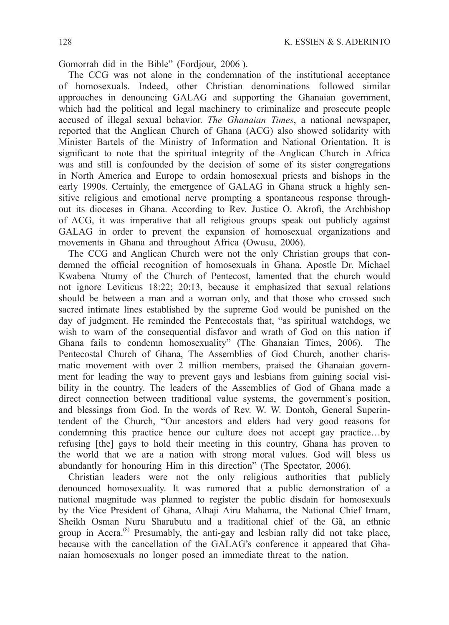Gomorrah did in the Bible" (Fordjour, 2006 ).

The CCG was not alone in the condemnation of the institutional acceptance of homosexuals. Indeed, other Christian denominations followed similar approaches in denouncing GALAG and supporting the Ghanaian government, which had the political and legal machinery to criminalize and prosecute people accused of illegal sexual behavior. *The Ghanaian Times*, a national newspaper, reported that the Anglican Church of Ghana (ACG) also showed solidarity with Minister Bartels of the Ministry of Information and National Orientation. It is significant to note that the spiritual integrity of the Anglican Church in Africa was and still is confounded by the decision of some of its sister congregations in North America and Europe to ordain homosexual priests and bishops in the early 1990s. Certainly, the emergence of GALAG in Ghana struck a highly sensitive religious and emotional nerve prompting a spontaneous response throughout its dioceses in Ghana. According to Rev. Justice O. Akrofi, the Archbishop of ACG, it was imperative that all religious groups speak out publicly against GALAG in order to prevent the expansion of homosexual organizations and movements in Ghana and throughout Africa (Owusu, 2006).

The CCG and Anglican Church were not the only Christian groups that condemned the official recognition of homosexuals in Ghana. Apostle Dr. Michael Kwabena Ntumy of the Church of Pentecost, lamented that the church would not ignore Leviticus 18:22; 20:13, because it emphasized that sexual relations should be between a man and a woman only, and that those who crossed such sacred intimate lines established by the supreme God would be punished on the day of judgment. He reminded the Pentecostals that, "as spiritual watchdogs, we wish to warn of the consequential disfavor and wrath of God on this nation if Ghana fails to condemn homosexuality" (The Ghanaian Times, 2006). The Pentecostal Church of Ghana, The Assemblies of God Church, another charismatic movement with over 2 million members, praised the Ghanaian government for leading the way to prevent gays and lesbians from gaining social visibility in the country. The leaders of the Assemblies of God of Ghana made a direct connection between traditional value systems, the government's position, and blessings from God. In the words of Rev. W. W. Dontoh, General Superintendent of the Church, "Our ancestors and elders had very good reasons for condemning this practice hence our culture does not accept gay practice…by refusing [the] gays to hold their meeting in this country, Ghana has proven to the world that we are a nation with strong moral values. God will bless us abundantly for honouring Him in this direction" (The Spectator, 2006).

Christian leaders were not the only religious authorities that publicly denounced homosexuality. It was rumored that a public demonstration of a national magnitude was planned to register the public disdain for homosexuals by the Vice President of Ghana, Alhaji Airu Mahama, the National Chief Imam, Sheikh Osman Nuru Sharubutu and a traditional chief of the Gã, an ethnic group in Accra.(8) Presumably, the anti-gay and lesbian rally did not take place, because with the cancellation of the GALAG's conference it appeared that Ghanaian homosexuals no longer posed an immediate threat to the nation.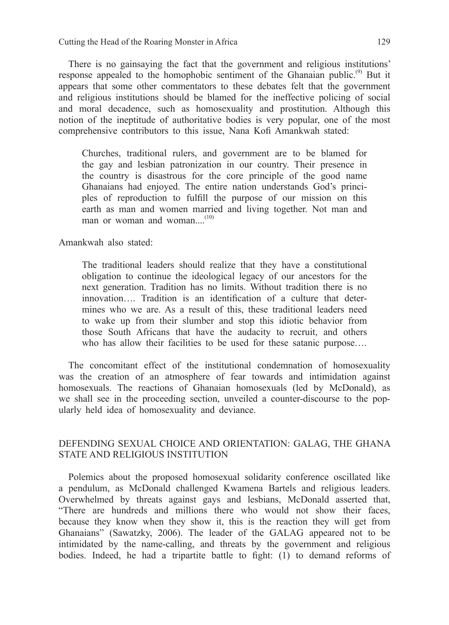There is no gainsaying the fact that the government and religious institutions' response appealed to the homophobic sentiment of the Ghanaian public.<sup>(9)</sup> But it appears that some other commentators to these debates felt that the government and religious institutions should be blamed for the ineffective policing of social and moral decadence, such as homosexuality and prostitution. Although this notion of the ineptitude of authoritative bodies is very popular, one of the most comprehensive contributors to this issue, Nana Kofi Amankwah stated:

Churches, traditional rulers, and government are to be blamed for the gay and lesbian patronization in our country. Their presence in the country is disastrous for the core principle of the good name Ghanaians had enjoyed. The entire nation understands God's principles of reproduction to fulfill the purpose of our mission on this earth as man and women married and living together. Not man and man or woman and woman. $(10)$ 

Amankwah also stated:

The traditional leaders should realize that they have a constitutional obligation to continue the ideological legacy of our ancestors for the next generation. Tradition has no limits. Without tradition there is no innovation…. Tradition is an identification of a culture that determines who we are. As a result of this, these traditional leaders need to wake up from their slumber and stop this idiotic behavior from those South Africans that have the audacity to recruit, and others who has allow their facilities to be used for these satanic purpose....

The concomitant effect of the institutional condemnation of homosexuality was the creation of an atmosphere of fear towards and intimidation against homosexuals. The reactions of Ghanaian homosexuals (led by McDonald), as we shall see in the proceeding section, unveiled a counter-discourse to the popularly held idea of homosexuality and deviance.

# Defending Sexual Choice and Orientation: GALAG, the Ghana State and Religious Institution

Polemics about the proposed homosexual solidarity conference oscillated like a pendulum, as McDonald challenged Kwamena Bartels and religious leaders. Overwhelmed by threats against gays and lesbians, McDonald asserted that, "There are hundreds and millions there who would not show their faces, because they know when they show it, this is the reaction they will get from Ghanaians" (Sawatzky, 2006). The leader of the GALAG appeared not to be intimidated by the name-calling, and threats by the government and religious bodies. Indeed, he had a tripartite battle to fight: (1) to demand reforms of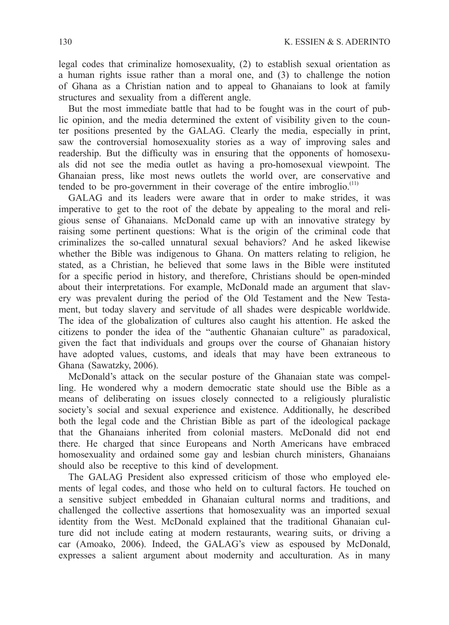legal codes that criminalize homosexuality, (2) to establish sexual orientation as a human rights issue rather than a moral one, and (3) to challenge the notion of Ghana as a Christian nation and to appeal to Ghanaians to look at family structures and sexuality from a different angle.

But the most immediate battle that had to be fought was in the court of public opinion, and the media determined the extent of visibility given to the counter positions presented by the GALAG. Clearly the media, especially in print, saw the controversial homosexuality stories as a way of improving sales and readership. But the difficulty was in ensuring that the opponents of homosexuals did not see the media outlet as having a pro-homosexual viewpoint. The Ghanaian press, like most news outlets the world over, are conservative and tended to be pro-government in their coverage of the entire imbroglio.<sup>(11)</sup>

GALAG and its leaders were aware that in order to make strides, it was imperative to get to the root of the debate by appealing to the moral and religious sense of Ghanaians. McDonald came up with an innovative strategy by raising some pertinent questions: What is the origin of the criminal code that criminalizes the so-called unnatural sexual behaviors? And he asked likewise whether the Bible was indigenous to Ghana. On matters relating to religion, he stated, as a Christian, he believed that some laws in the Bible were instituted for a specific period in history, and therefore, Christians should be open-minded about their interpretations. For example, McDonald made an argument that slavery was prevalent during the period of the Old Testament and the New Testament, but today slavery and servitude of all shades were despicable worldwide. The idea of the globalization of cultures also caught his attention. He asked the citizens to ponder the idea of the "authentic Ghanaian culture" as paradoxical, given the fact that individuals and groups over the course of Ghanaian history have adopted values, customs, and ideals that may have been extraneous to Ghana (Sawatzky, 2006).

McDonald's attack on the secular posture of the Ghanaian state was compelling. He wondered why a modern democratic state should use the Bible as a means of deliberating on issues closely connected to a religiously pluralistic society's social and sexual experience and existence. Additionally, he described both the legal code and the Christian Bible as part of the ideological package that the Ghanaians inherited from colonial masters. McDonald did not end there. He charged that since Europeans and North Americans have embraced homosexuality and ordained some gay and lesbian church ministers, Ghanaians should also be receptive to this kind of development.

The GALAG President also expressed criticism of those who employed elements of legal codes, and those who held on to cultural factors. He touched on a sensitive subject embedded in Ghanaian cultural norms and traditions, and challenged the collective assertions that homosexuality was an imported sexual identity from the West. McDonald explained that the traditional Ghanaian culture did not include eating at modern restaurants, wearing suits, or driving a car (Amoako, 2006). Indeed, the GALAG's view as espoused by McDonald, expresses a salient argument about modernity and acculturation. As in many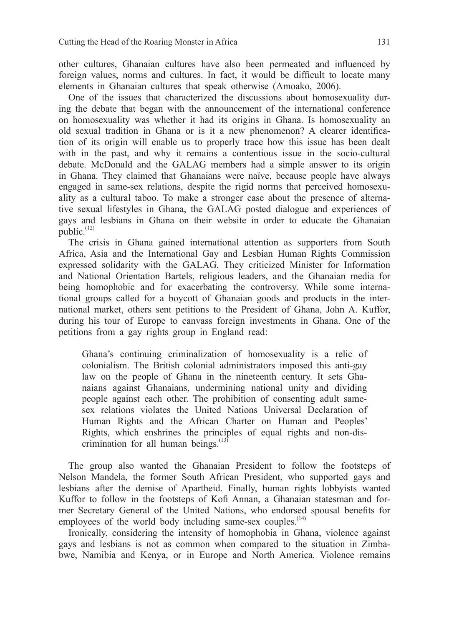other cultures, Ghanaian cultures have also been permeated and influenced by foreign values, norms and cultures. In fact, it would be difficult to locate many elements in Ghanaian cultures that speak otherwise (Amoako, 2006).

One of the issues that characterized the discussions about homosexuality during the debate that began with the announcement of the international conference on homosexuality was whether it had its origins in Ghana. Is homosexuality an old sexual tradition in Ghana or is it a new phenomenon? A clearer identification of its origin will enable us to properly trace how this issue has been dealt with in the past, and why it remains a contentious issue in the socio-cultural debate. McDonald and the GALAG members had a simple answer to its origin in Ghana. They claimed that Ghanaians were naïve, because people have always engaged in same-sex relations, despite the rigid norms that perceived homosexuality as a cultural taboo. To make a stronger case about the presence of alternative sexual lifestyles in Ghana, the GALAG posted dialogue and experiences of gays and lesbians in Ghana on their website in order to educate the Ghanaian public.<sup>(12)</sup>

The crisis in Ghana gained international attention as supporters from South Africa, Asia and the International Gay and Lesbian Human Rights Commission expressed solidarity with the GALAG. They criticized Minister for Information and National Orientation Bartels, religious leaders, and the Ghanaian media for being homophobic and for exacerbating the controversy. While some international groups called for a boycott of Ghanaian goods and products in the international market, others sent petitions to the President of Ghana, John A. Kuffor, during his tour of Europe to canvass foreign investments in Ghana. One of the petitions from a gay rights group in England read:

Ghana's continuing criminalization of homosexuality is a relic of colonialism. The British colonial administrators imposed this anti-gay law on the people of Ghana in the nineteenth century. It sets Ghanaians against Ghanaians, undermining national unity and dividing people against each other. The prohibition of consenting adult samesex relations violates the United Nations Universal Declaration of Human Rights and the African Charter on Human and Peoples' Rights, which enshrines the principles of equal rights and non-discrimination for all human beings. $(13)$ 

The group also wanted the Ghanaian President to follow the footsteps of Nelson Mandela, the former South African President, who supported gays and lesbians after the demise of Apartheid. Finally, human rights lobbyists wanted Kuffor to follow in the footsteps of Kofi Annan, a Ghanaian statesman and former Secretary General of the United Nations, who endorsed spousal benefits for employees of the world body including same-sex couples. $^{(14)}$ 

Ironically, considering the intensity of homophobia in Ghana, violence against gays and lesbians is not as common when compared to the situation in Zimbabwe, Namibia and Kenya, or in Europe and North America. Violence remains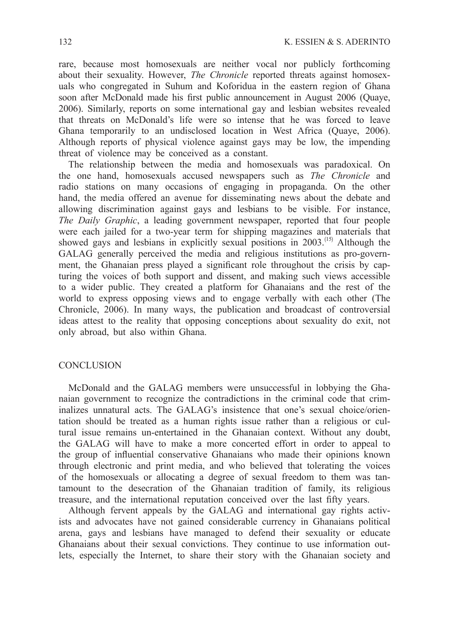rare, because most homosexuals are neither vocal nor publicly forthcoming about their sexuality. However, *The Chronicle* reported threats against homosexuals who congregated in Suhum and Koforidua in the eastern region of Ghana soon after McDonald made his first public announcement in August 2006 (Quaye, 2006). Similarly, reports on some international gay and lesbian websites revealed that threats on McDonald's life were so intense that he was forced to leave Ghana temporarily to an undisclosed location in West Africa (Quaye, 2006). Although reports of physical violence against gays may be low, the impending threat of violence may be conceived as a constant.

The relationship between the media and homosexuals was paradoxical. On the one hand, homosexuals accused newspapers such as *The Chronicle* and radio stations on many occasions of engaging in propaganda. On the other hand, the media offered an avenue for disseminating news about the debate and allowing discrimination against gays and lesbians to be visible. For instance, *The Daily Graphic*, a leading government newspaper, reported that four people were each jailed for a two-year term for shipping magazines and materials that showed gays and lesbians in explicitly sexual positions in 2003.<sup>(15)</sup> Although the GALAG generally perceived the media and religious institutions as pro-government, the Ghanaian press played a significant role throughout the crisis by capturing the voices of both support and dissent, and making such views accessible to a wider public. They created a platform for Ghanaians and the rest of the world to express opposing views and to engage verbally with each other (The Chronicle, 2006). In many ways, the publication and broadcast of controversial ideas attest to the reality that opposing conceptions about sexuality do exit, not only abroad, but also within Ghana.

### **CONCLUSION**

McDonald and the GALAG members were unsuccessful in lobbying the Ghanaian government to recognize the contradictions in the criminal code that criminalizes unnatural acts. The GALAG's insistence that one's sexual choice/orientation should be treated as a human rights issue rather than a religious or cultural issue remains un-entertained in the Ghanaian context. Without any doubt, the GALAG will have to make a more concerted effort in order to appeal to the group of influential conservative Ghanaians who made their opinions known through electronic and print media, and who believed that tolerating the voices of the homosexuals or allocating a degree of sexual freedom to them was tantamount to the desecration of the Ghanaian tradition of family, its religious treasure, and the international reputation conceived over the last fifty years.

Although fervent appeals by the GALAG and international gay rights activists and advocates have not gained considerable currency in Ghanaians political arena, gays and lesbians have managed to defend their sexuality or educate Ghanaians about their sexual convictions. They continue to use information outlets, especially the Internet, to share their story with the Ghanaian society and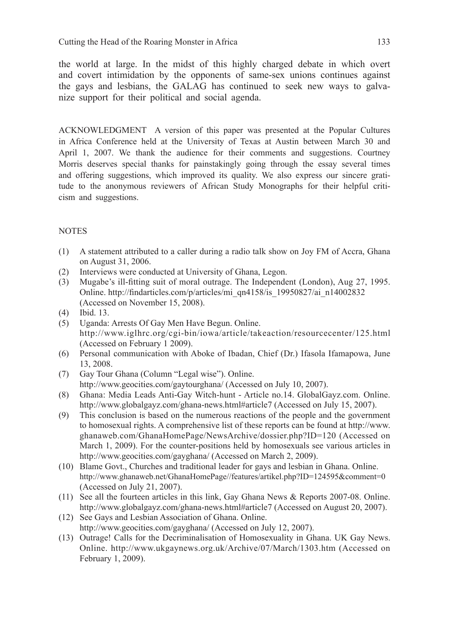the world at large. In the midst of this highly charged debate in which overt and covert intimidation by the opponents of same-sex unions continues against the gays and lesbians, the GALAG has continued to seek new ways to galvanize support for their political and social agenda.

ACKNOWLEDGMENT A version of this paper was presented at the Popular Cultures in Africa Conference held at the University of Texas at Austin between March 30 and April 1, 2007. We thank the audience for their comments and suggestions. Courtney Morris deserves special thanks for painstakingly going through the essay several times and offering suggestions, which improved its quality. We also express our sincere gratitude to the anonymous reviewers of African Study Monographs for their helpful criticism and suggestions.

## **NOTES**

- (1) A statement attributed to a caller during a radio talk show on Joy FM of Accra, Ghana on August 31, 2006.
- (2) Interviews were conducted at University of Ghana, Legon.
- (3) Mugabe's ill-fitting suit of moral outrage. The Independent (London), Aug 27, 1995. Online. http://findarticles.com/p/articles/mi\_qn4158/is\_19950827/ai\_n14002832 (Accessed on November 15, 2008).
- (4) Ibid. 13.
- (5) Uganda: Arrests Of Gay Men Have Begun. Online. http://www.iglhrc.org/cgi-bin/iowa/article/takeaction/resourcecenter/125.html (Accessed on February 1 2009).
- (6) Personal communication with Aboke of Ibadan, Chief (Dr.) Ifasola Ifamapowa, June 13, 2008.
- (7) Gay Tour Ghana (Column "Legal wise"). Online. http://www.geocities.com/gaytourghana/ (Accessed on July 10, 2007).
- (8) Ghana: Media Leads Anti-Gay Witch-hunt Article no.14. GlobalGayz.com. Online. http://www.globalgayz.com/ghana-news.html#article7 (Accessed on July 15, 2007).
- (9) This conclusion is based on the numerous reactions of the people and the government to homosexual rights. A comprehensive list of these reports can be found at http://www. ghanaweb.com/GhanaHomePage/NewsArchive/dossier.php?ID=120 (Accessed on March 1, 2009). For the counter-positions held by homosexuals see various articles in http://www.geocities.com/gayghana/ (Accessed on March 2, 2009).
- (10) Blame Govt., Churches and traditional leader for gays and lesbian in Ghana. Online. http://www.ghanaweb.net/GhanaHomePage//features/artikel.php?ID=124595&comment=0 (Accessed on July 21, 2007).
- (11) See all the fourteen articles in this link, Gay Ghana News & Reports 2007-08. Online. http://www.globalgayz.com/ghana-news.html#article7 (Accessed on August 20, 2007).
- (12) See Gays and Lesbian Association of Ghana. Online. http://www.geocities.com/gayghana/ (Accessed on July 12, 2007).
- (13) Outrage! Calls for the Decriminalisation of Homosexuality in Ghana. UK Gay News. Online. http://www.ukgaynews.org.uk/Archive/07/March/1303.htm (Accessed on February 1, 2009).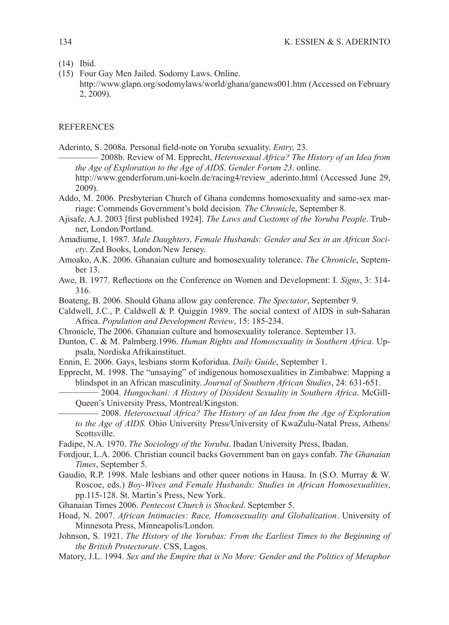- (14) Ibid.
- (15) Four Gay Men Jailed. Sodomy Laws. Online. http://www.glapn.org/sodomylaws/world/ghana/ganews001.htm (Accessed on February 2, 2009).

#### **REFERENCES**

- Aderinto, S. 2008a. Personal field-note on Yoruba sexuality. *Entry*, 23.<br>————— 2008b. Review of M. Epprecht, *Heterosexual Africa? The History of an Idea from the Age of Exploration to the Age of AIDS*. *Gender Forum 23*. online. http://www.genderforum.uni-koeln.de/racing4/review\_aderinto.html (Accessed June 29, 2009).
- Addo, M. 2006. Presbyterian Church of Ghana condemns homosexuality and same-sex marriage: Commends Government's bold decision*. The Chronicl*e, September 8.
- Ajisafe, A.J. 2003 [first published 1924]. *The Laws and Customs of the Yoruba People*. Trubner, London/Portland.
- Amadiume, I. 1987. *Male Daughters, Female Husbands: Gender and Sex in an African Society*. Zed Books, London/New Jersey.
- Amoako, A.K. 2006. Ghanaian culture and homosexuality tolerance. *The Chronicle*, September 13.
- Awe, B. 1977. Reflections on the Conference on Women and Development: I. *Signs*, 3: 314- 316.
- Boateng, B. 2006. Should Ghana allow gay conference*. The Spectator*, September 9.

Caldwell, J.C., P. Caldwell & P. Quiggin 1989. The social context of AIDS in sub-Saharan Africa. *Population and Development Review*, 15: 185-234.

- Chronicle, The 2006. Ghanaian culture and homosexuality tolerance. September 13.
- Dunton, C. & M. Palmberg.1996. *Human Rights and Homosexuality in Southern Africa*. Uppsala, Nordiska Afrikainstituet.
- Ennin, E. 2006. Gays, lesbians storm Koforidua. *Daily Guide*, September 1.
- Epprecht, M. 1998. The "unsaying" of indigenous homosexualities in Zimbabwe: Mapping a blindspot in an African masculinity. *Journal of Southern African Studies*, 24: 631-651. \_\_\_\_\_\_\_\_\_ 2004. *Hungochani: A History of Dissident Sexuality in Southern Africa*. McGill-
	- Queen's University Press, Montreal/Kingston.<br>
	<u>
	</u> 2008. *Heterosexual Africa? The History of an Idea from the Age of Exploration*
	- *to the Age of AIDS.* Ohio University Press/University of KwaZulu-Natal Press, Athens/ Scottsville.
- Fadipe, N.A. 1970. *The Sociology of the Yoruba*. Ibadan University Press, Ibadan.
- Fordjour, L.A. 2006. Christian council backs Government ban on gays confab. *The Ghanaian Times*, September 5.
- Gaudio, R.P. 1998. Male lesbians and other queer notions in Hausa. In (S.O. Murray & W. Roscoe, eds.) *Boy-Wives and Female Husbands: Studies in African Homosexualities*, pp.115-128. St. Martin's Press, New York.
- Ghanaian Times 2006. *Pentecost Church is Shocked*. September 5.
- Hoad, N. 2007. *African Intimacies: Race, Homosexuality and Globalization*. University of Minnesota Press, Minneapolis/London.
- Johnson, S. 1921. *The History of the Yorubas: From the Earliest Times to the Beginning of the British Protectorate*. CSS, Lagos.
- Matory, J.L. 1994. *Sex and the Empire that is No More: Gender and the Politics of Metaphor*